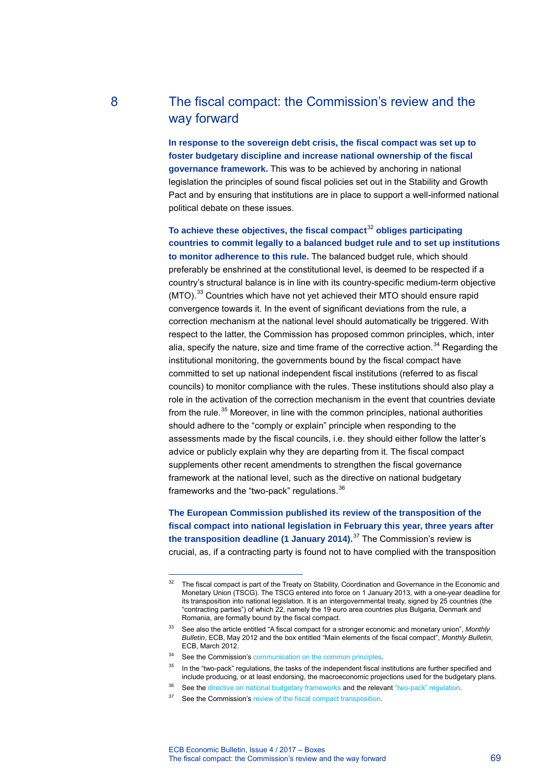## 8 The fiscal compact: the Commission's review and the way forward

**In response to the sovereign debt crisis, the fiscal compact was set up to foster budgetary discipline and increase national ownership of the fiscal governance framework.** This was to be achieved by anchoring in national legislation the principles of sound fiscal policies set out in the Stability and Growth Pact and by ensuring that institutions are in place to support a well-informed national political debate on these issues.

**To achieve these objectives, the fiscal compact**[32](#page-0-0) **obliges participating countries to commit legally to a balanced budget rule and to set up institutions to monitor adherence to this rule.** The balanced budget rule, which should preferably be enshrined at the constitutional level, is deemed to be respected if a country's structural balance is in line with its country-specific medium-term objective (MTO).<sup>[33](#page-0-1)</sup> Countries which have not yet achieved their MTO should ensure rapid convergence towards it. In the event of significant deviations from the rule, a correction mechanism at the national level should automatically be triggered. With respect to the latter, the Commission has proposed common principles, which, inter alia, specify the nature, size and time frame of the corrective action. $34$  Regarding the institutional monitoring, the governments bound by the fiscal compact have committed to set up national independent fiscal institutions (referred to as fiscal councils) to monitor compliance with the rules. These institutions should also play a role in the activation of the correction mechanism in the event that countries deviate from the rule.<sup>[35](#page-0-3)</sup> Moreover, in line with the common principles, national authorities should adhere to the "comply or explain" principle when responding to the assessments made by the fiscal councils, i.e. they should either follow the latter's advice or publicly explain why they are departing from it. The fiscal compact supplements other recent amendments to strengthen the fiscal governance framework at the national level, such as the directive on national budgetary frameworks and the "two-pack" regulations.<sup>[36](#page-0-4)</sup>

**The European Commission published its review of the transposition of the fiscal compact into national legislation in February this year, three years after the transposition deadline (1 January 2014).**[37](#page-0-5) The Commission's review is crucial, as, if a contracting party is found not to have complied with the transposition

<span id="page-0-0"></span>-

The fiscal compact is part of the Treaty on Stability, Coordination and Governance in the Economic and Monetary Union (TSCG). The TSCG entered into force on 1 January 2013, with a one-year deadline for its transposition into national legislation. It is an intergovernmental treaty, signed by 25 countries (the "contracting parties") of which 22, namely the 19 euro area countries plus Bulgaria, Denmark and Romania, are formally bound by the fiscal compact.

<span id="page-0-1"></span><sup>33</sup> See also the article entitled "A fiscal compact for a stronger economic and monetary union", *Monthly Bulletin*, ECB, May 2012 and the box entitled "Main elements of the fiscal compact", *Monthly Bulletin*, ECB, March 2012.

<span id="page-0-2"></span><sup>&</sup>lt;sup>34</sup> See the Commission'[s communication on the common principles.](http://eur-lex.europa.eu/LexUriServ/LexUriServ.do?uri=COM:2012:0342:FIN:En:PDF)

<sup>&</sup>lt;sup>35</sup> In the "two-pack" regulations, the tasks of the independent fiscal institutions are further specified and include producing, or at least endorsing, the macroeconomic projections used for the budgetary plans.

<span id="page-0-5"></span><span id="page-0-4"></span><span id="page-0-3"></span><sup>&</sup>lt;sup>36</sup> See the directive [on national budgetary frameworks](http://eur-lex.europa.eu/legal-content/EN/ALL/?uri=celex:32011L0085) and the relevant "two-pack" regulation.

<sup>&</sup>lt;sup>37</sup> See the Commission's [review of the fiscal compact transposition.](https://ec.europa.eu/info/publications/fiscal-compact-taking-stock_en)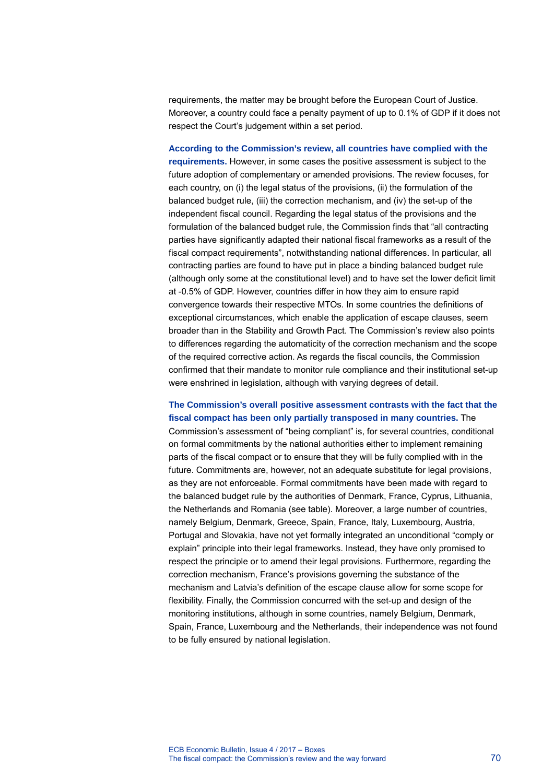requirements, the matter may be brought before the European Court of Justice. Moreover, a country could face a penalty payment of up to 0.1% of GDP if it does not respect the Court's judgement within a set period.

**According to the Commission's review, all countries have complied with the requirements.** However, in some cases the positive assessment is subject to the future adoption of complementary or amended provisions. The review focuses, for each country, on (i) the legal status of the provisions, (ii) the formulation of the balanced budget rule, (iii) the correction mechanism, and (iv) the set-up of the independent fiscal council. Regarding the legal status of the provisions and the formulation of the balanced budget rule, the Commission finds that "all contracting parties have significantly adapted their national fiscal frameworks as a result of the fiscal compact requirements", notwithstanding national differences. In particular, all contracting parties are found to have put in place a binding balanced budget rule (although only some at the constitutional level) and to have set the lower deficit limit at -0.5% of GDP. However, countries differ in how they aim to ensure rapid convergence towards their respective MTOs. In some countries the definitions of exceptional circumstances, which enable the application of escape clauses, seem broader than in the Stability and Growth Pact. The Commission's review also points to differences regarding the automaticity of the correction mechanism and the scope of the required corrective action. As regards the fiscal councils, the Commission confirmed that their mandate to monitor rule compliance and their institutional set-up were enshrined in legislation, although with varying degrees of detail.

## **The Commission's overall positive assessment contrasts with the fact that the fiscal compact has been only partially transposed in many countries.** The

Commission's assessment of "being compliant" is, for several countries, conditional on formal commitments by the national authorities either to implement remaining parts of the fiscal compact or to ensure that they will be fully complied with in the future. Commitments are, however, not an adequate substitute for legal provisions, as they are not enforceable. Formal commitments have been made with regard to the balanced budget rule by the authorities of Denmark, France, Cyprus, Lithuania, the Netherlands and Romania (see table). Moreover, a large number of countries, namely Belgium, Denmark, Greece, Spain, France, Italy, Luxembourg, Austria, Portugal and Slovakia, have not yet formally integrated an unconditional "comply or explain" principle into their legal frameworks. Instead, they have only promised to respect the principle or to amend their legal provisions. Furthermore, regarding the correction mechanism, France's provisions governing the substance of the mechanism and Latvia's definition of the escape clause allow for some scope for flexibility. Finally, the Commission concurred with the set-up and design of the monitoring institutions, although in some countries, namely Belgium, Denmark, Spain, France, Luxembourg and the Netherlands, their independence was not found to be fully ensured by national legislation.